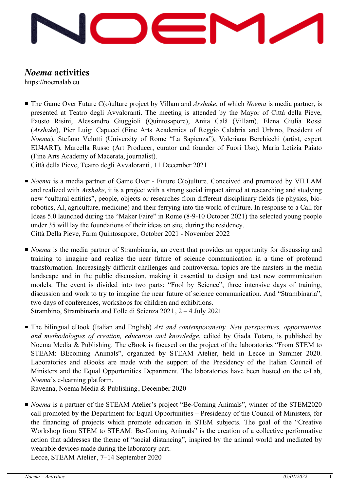

## *Noema* **activities**

https://noemalab.eu

■ The Game Over Future C(o)ulture project by Villam and *Arshake*, of which *Noema* is media partner, is presented at Teatro degli Avvaloranti. The meeting is attended by the Mayor of Città della Pieve, Fausto Risini, Alessandro Giuggioli (Quintosapore), Anita Calà (Villam), Elena Giulia Rossi (*Arshake*), Pier Luigi Capucci (Fine Arts Academies of Reggio Calabria and Urbino, President of *Noema*), Stefano Velotti (University of Rome "La Sapienza"), Valeriana Berchicchi (artist, expert EU4ART), Marcella Russo (Art Producer, curator and founder of Fuori Uso), Maria Letizia Paiato (Fine Arts Academy of Macerata, journalist).

Città della Pieve, Teatro degli Avvaloranti, 11 December 2021

- *Noema* is a media partner of Game Over Future C(o)ulture. Conceived and promoted by VILLAM and realized with *Arshake*, it is a project with a strong social impact aimed at researching and studying new "cultural entities", people, objects or researches from different disciplinary fields (ie physics, biorobotics, AI, agriculture, medicine) and their ferrying into the world of culture. In response to a Call for Ideas 5.0 launched during the "Maker Faire" in Rome (8-9-10 October 2021) the selected young people under 35 will lay the foundations of their ideas on site, during the residency. Città Della Pieve, Farm Quintosapore, October 2021 - November 2022
- *Noema* is the media partner of Strambinaria, an event that provides an opportunity for discussing and training to imagine and realize the near future of science communication in a time of profound transformation. Increasingly difficult challenges and controversial topics are the masters in the media landscape and in the public discussion, making it essential to design and test new communication models. The event is divided into two parts: "Fool by Science", three intensive days of training, discussion and work to try to imagine the near future of science communication. And "Strambinaria", two days of conferences, workshops for children and exhibitions. Strambino, Strambinaria and Folle di Scienza 2021 , 2 – 4 July 2021
- The bilingual eBook (Italian and English) *Art and contemporaneity. New perspectives, opportunities and methodologies of creation, education and knowledge*, edited by Giada Totaro, is published by Noema Media & Publishing. The eBook is focused on the project of the laboratories "From STEM to STEAM: BEcoming Animals", organized by STEAM Atelier, held in Lecce in Summer 2020. Laboratories and eBooks are made with the support of the Presidency of the Italian Council of Ministers and the Equal Opportunities Department. The laboratories have been hosted on the e-Lab, *Noema*'s e-learning platform.

Ravenna, Noema Media & Publishing, December 2020

■ *Noema* is a partner of the STEAM Atelier's project "Be-Coming Animals", winner of the STEM2020 call promoted by the Department for Equal Opportunities – Presidency of the Council of Ministers, for the financing of projects which promote education in STEM subjects. The goal of the "Creative Workshop from STEM to STEAM: Be-Coming Animals" is the creation of a collective performative action that addresses the theme of "social distancing", inspired by the animal world and mediated by wearable devices made during the laboratory part.

Lecce, STEAM Atelier, 7–14 September 2020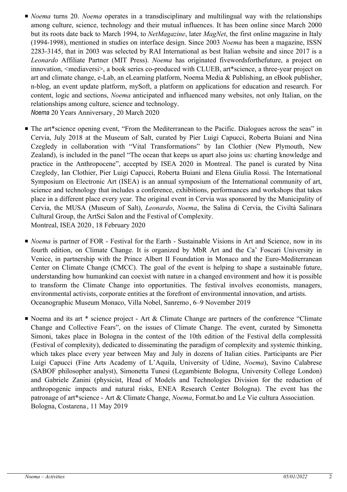■ *Noema* turns 20. *Noema* operates in a transdisciplinary and multilingual way with the relationships among culture, science, technology and their mutual influences. It has been online since March 2000 but its roots date back to March 1994, to *NetMagazine*, later *MagNet*, the first online magazine in Italy (1994-1998), mentioned in studies on interface design. Since 2003 *Noema* has been a magazine, ISSN 2283-3145, that in 2003 was selected by RAI International as best Italian website and since 2017 is a *Leonardo* Affiliate Partner (MIT Press). *Noema* has originated fivewordsforthefuture, a project on innovation, <mediaversi>, a book series co-produced with CLUEB, art\*science, a three-year project on art and climate change, e-Lab, an eLearning platform, Noema Media & Publishing, an eBook publisher, n-blog, an event update platform, mySoft, a platform on applications for education and research. For content, logic and sections, *Noema* anticipated and influenced many websites, not only Italian, on the relationships among culture, science and technology.

*Noema* 20 Years Anniversary, 20 March 2020

- The art\*science opening event, "From the Mediterranean to the Pacific. Dialogues across the seas" in Cervia, July 2018 at the Museum of Salt, curated by Pier Luigi Capucci, Roberta Buiani and Nina Czegledy in collaboration with "Vital Transformations" by Ian Clothier (New Plymouth, New Zealand), is included in the panel "The ocean that keeps us apart also joins us: charting knowledge and practice in the Anthropocene", accepted by ISEA 2020 in Montreal. The panel is curated by Nina Czegledy, Ian Clothier, Pier Luigi Capucci, Roberta Buiani and Elena Giulia Rossi. The International Symposium on Electronic Art (ISEA) is an annual symposium of the International community of art, science and technology that includes a conference, exhibitions, performances and workshops that takes place in a different place every year. The original event in Cervia was sponsored by the Municipality of Cervia, the MUSA (Museum of Salt), *Leonardo*, *Noema*, the Salina di Cervia, the Civiltà Salinara Cultural Group, the ArtSci Salon and the Festival of Complexity. Montreal, ISEA 2020, 18 February 2020
- *Noema* is partner of FOR Festival for the Earth Sustainable Visions in Art and Science, now in its fourth edition, on Climate Change. It is organized by MbR Art and the Ca' Foscari University in Venice, in partnership with the Prince Albert II Foundation in Monaco and the Euro-Mediterranean Center on Climate Change (CMCC). The goal of the event is helping to shape a sustainable future, understanding how humankind can coexist with nature in a changed environment and how it is possible to transform the Climate Change into opportunities. The festival involves economists, managers, environmental activists, corporate entities at the forefront of environmental innovation, and artists. Oceanographic Museum Monaco, Villa Nobel, Sanremo, 6–9 November 2019
- Noema and its art \* science project Art & Climate Change are partners of the conference "Climate Change and Collective Fears", on the issues of Climate Change. The event, curated by Simonetta Simoni, takes place in Bologna in the contest of the 10th edition of the Festival della complessità (Festival of complexity), dedicated to disseminating the paradigm of complexity and systemic thinking, which takes place every year between May and July in dozens of Italian cities. Participants are Pier Luigi Capucci (Fine Arts Academy of L'Aquila, University of Udine, *Noema*), Savino Calabrese (SABOF philosopher analyst), Simonetta Tunesi (Legambiente Bologna, University College London) and Gabriele Zanini (physicist, Head of Models and Technologies Division for the reduction of anthropogenic impacts and natural risks, ENEA Research Center Bologna). The event has the patronage of art\*science - Art & Climate Change, *Noema*, Format.bo and Le Vie cultura Association. Bologna, Costarena , 11 May 2019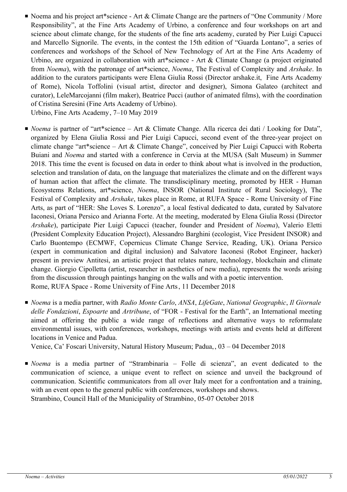■ Noema and his project art\*science - Art & Climate Change are the partners of "One Community / More Responsibility", at the Fine Arts Academy of Urbino, a conference and four workshops on art and science about climate change, for the students of the fine arts academy, curated by Pier Luigi Capucci and Marcello Signorile. The events, in the contest the 15th edition of "Guarda Lontano", a series of conferences and workshops of the School of New Technology of Art at the Fine Arts Academy of Urbino, are organized in collaboration with art\*science - Art & Climate Change (a project originated from *Noema*), with the patronage of art\*science, *Noema*, The Festival of Complexity and *Arshake*. In addition to the curators participants were Elena Giulia Rossi (Director arshake.it, Fine Arts Academy of Rome), Nicola Toffolini (visual artist, director and designer), Simona Galateo (architect and curator), LeleMarcojanni (film maker), Beatrice Pucci (author of animated films), with the coordination of Cristina Seresini (Fine Arts Academy of Urbino).

Urbino, Fine Arts Academy, 7–10 May 2019

- *Noema* is partner of "art\*science Art & Climate Change. Alla ricerca dei dati / Looking for Data", organized by Elena Giulia Rossi and Pier Luigi Capucci, second event of the three-year project on climate change "art\*science – Art & Climate Change", conceived by Pier Luigi Capucci with Roberta Buiani and *Noema* and started with a conference in Cervia at the MUSA (Salt Museum) in Summer 2018. This time the event is focused on data in order to think about what is involved in the production, selection and translation of data, on the language that materializes the climate and on the different ways of human action that affect the climate. The transdisciplinary meeting, promoted by HER - Human Ecosystems Relations, art\*science, *Noema*, INSOR (National Institute of Rural Sociology), The Festival of Complexity and *Arshake*, takes place in Rome, at RUFA Space - Rome University of Fine Arts, as part of "HER: She Loves S. Lorenzo", a local festival dedicated to data, curated by Salvatore Iaconesi, Oriana Persico and Arianna Forte. At the meeting, moderated by Elena Giulia Rossi (Director *Arshake*), participate Pier Luigi Capucci (teacher, founder and President of *Noema*), Valerio Eletti (President Complexity Education Project), Alessandro Barghini (ecologist, Vice President INSOR) and Carlo Buontempo (ECMWF, Copernicus Climate Change Service, Reading, UK). Oriana Persico (expert in communication and digital inclusion) and Salvatore Iaconesi (Robot Engineer, hacker) present in preview Antitesi, an artistic project that relates nature, technology, blockchain and climate change. Giorgio Cipolletta (artist, researcher in aesthetics of new media), represents the words arising from the discussion through paintings hanging on the walls and with a poetic intervention. Rome, RUFA Space - Rome University of Fine Arts, 11 December 2018
- *Noema* is a media partner, with *Radio Monte Carlo, ANSA, LifeGate, National Geographic, Il Giornale delle Fondazioni*, *Espoarte* and *Artribune*, of "FOR - Festival for the Earth", an International meeting aimed at offering the public a wide range of reflections and alternative ways to reformulate environmental issues, with conferences, workshops, meetings with artists and events held at different locations in Venice and Padua.

Venice, Ca' Foscari University, Natural History Museum; Padua, , 03 – 04 December 2018

■ *Noema* is a media partner of "Strambinaria – Folle di scienza", an event dedicated to the communication of science, a unique event to reflect on science and unveil the background of communication. Scientific communicators from all over Italy meet for a confrontation and a training, with an event open to the general public with conferences, workshops and shows. Strambino, Council Hall of the Municipality of Strambino, 05-07 October 2018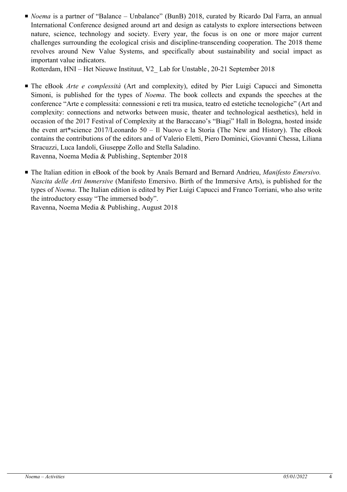■ *Noema* is a partner of "Balance – Unbalance" (BunB) 2018, curated by Ricardo Dal Farra, an annual International Conference designed around art and design as catalysts to explore intersections between nature, science, technology and society. Every year, the focus is on one or more major current challenges surrounding the ecological crisis and discipline-transcending cooperation. The 2018 theme revolves around New Value Systems, and specifically about sustainability and social impact as important value indicators.

Rotterdam, HNI – Het Nieuwe Instituut, V2\_ Lab for Unstable , 20-21 September 2018

- The eBook *Arte e complessità* (Art and complexity), edited by Pier Luigi Capucci and Simonetta Simoni, is published for the types of *Noema*. The book collects and expands the speeches at the conference "Arte e complessità: connessioni e reti tra musica, teatro ed estetiche tecnologiche" (Art and complexity: connections and networks between music, theater and technological aesthetics), held in occasion of the 2017 Festival of Complexity at the Baraccano's "Biagi" Hall in Bologna, hosted inside the event art\*science 2017/Leonardo 50 – Il Nuovo e la Storia (The New and History). The eBook contains the contributions of the editors and of Valerio Eletti, Piero Dominici, Giovanni Chessa, Liliana Stracuzzi, Luca Iandoli, Giuseppe Zollo and Stella Saladino. Ravenna, Noema Media & Publishing, September 2018
- The Italian edition in eBook of the book by Anaïs Bernard and Bernard Andrieu, Manifesto Emersivo. *Nascita delle Arti Immersive* (Manifesto Emersivo. Birth of the Immersive Arts), is published for the types of *Noema*. The Italian edition is edited by Pier Luigi Capucci and Franco Torriani, who also write the introductory essay "The immersed body".

Ravenna, Noema Media & Publishing, August 2018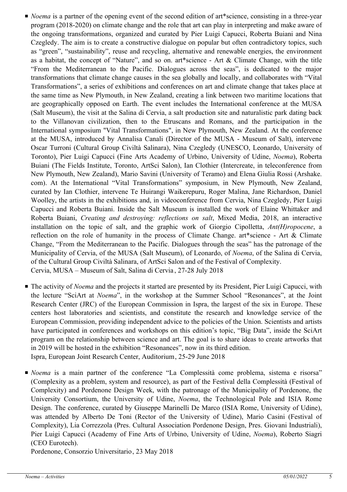- *Noema* is a partner of the opening event of the second edition of art\*science, consisting in a three-year program (2018-2020) on climate change and the role that art can play in interpreting and make aware of the ongoing transformations, organized and curated by Pier Luigi Capucci, Roberta Buiani and Nina Czegledy. The aim is to create a constructive dialogue on popular but often contradictory topics, such as "green", "sustainability", reuse and recycling, alternative and renewable energies, the environment as a habitat, the concept of "Nature", and so on. art\*science - Art & Climate Change, with the title "From the Mediterranean to the Pacific. Dialogues across the seas", is dedicated to the major transformations that climate change causes in the sea globally and locally, and collaborates with "Vital Transformations", a series of exhibitions and conferences on art and climate change that takes place at the same time as New Plymouth, in New Zealand, creating a link between two maritime locations that are geographically opposed on Earth. The event includes the International conference at the MUSA (Salt Museum), the visit at the Salina di Cervia, a salt production site and naturalistic park dating back to the Villanovan civilization, then to the Etruscans and Romans, and the participation in the International symposium "Vital Transformations", in New Plymouth, New Zealand. At the conference at the MUSA, introduced by Annalisa Canali (Director of the MUSA - Museum of Salt), intervene Oscar Turroni (Cultural Group Civiltà Salinara), Nina Czegledy (UNESCO, Leonardo, University of Toronto), Pier Luigi Capucci (Fine Arts Academy of Urbino, University of Udine, *Noema*), Roberta Buiani (The Fields Institute, Toronto, ArtSci Salon), Ian Clothier (Intercreate, in teleconference from New Plymouth, New Zealand), Mario Savini (University of Teramo) and Elena Giulia Rossi (Arshake. com). At the International "Vital Transformations" symposium, in New Plymouth, New Zealand, curated by Ian Clothier, intervene Te Huirangi Waikerepuru, Roger Malina, Jane Richardson, Daniel Woolley, the artists in the exhibitions and, in videoconference from Cervia, Nina Czegledy, Pier Luigi Capucci and Roberta Buiani. Inside the Salt Museum is installed the work of Elaine Whittaker and Roberta Buiani, *Creating and destroying: reflections on salt*, Mixed Media, 2018, an interactive installation on the topic of salt, and the graphic work of Giorgio Cipolletta, *Ant(H)ropocene*, a reflection on the role of humanity in the process of Climate Change. art\*science - Art & Climate Change, "From the Mediterranean to the Pacific. Dialogues through the seas" has the patronage of the Municipality of Cervia, of the MUSA (Salt Museum), of Leonardo, of *Noema*, of the Salina di Cervia, of the Cultural Group Civiltà Salinara, of ArtSci Salon and of the Festival of Complexity. Cervia, MUSA – Museum of Salt, Salina di Cervia , 27-28 July 2018
- The activity of *Noema* and the projects it started are presented by its President, Pier Luigi Capucci, with the lecture "SciArt at *Noema*", in the workshop at the Summer School "Resonances", at the Joint Research Center (JRC) of the European Commission in Ispra, the largest of the six in Europe. These centers host laboratories and scientists, and constitute the research and knowledge service of the European Commission, providing independent advice to the policies of the Union. Scientists and artists have participated in conferences and workshops on this edition's topic, "Big Data", inside the SciArt program on the relationship between science and art. The goal is to share ideas to create artworks that in 2019 will be hosted in the exhibition "Resonances", now in its third edition. Ispra, European Joint Research Center, Auditorium, 25-29 June 2018
- *Noema* is a main partner of the conference "La Complessità come problema, sistema e risorsa" (Complexity as a problem, system and resource), as part of the Festival della Complessità (Festival of Complexity) and Pordenone Design Week, with the patronage of the Municipality of Pordenone, the University Consortium, the University of Udine, *Noema*, the Technological Pole and ISIA Rome Design. The conference, curated by Giuseppe Marinelli De Marco (ISIA Rome, University of Udine), was attended by Alberto De Toni (Rector of the University of Udine), Mario Casini (Festival of Complexity), Lia Correzzola (Pres. Cultural Association Pordenone Design, Pres. Giovani Industriali), Pier Luigi Capucci (Academy of Fine Arts of Urbino, University of Udine, *Noema*), Roberto Siagri (CEO Eurotech).

Pordenone, Consorzio Universitario, 23 May 2018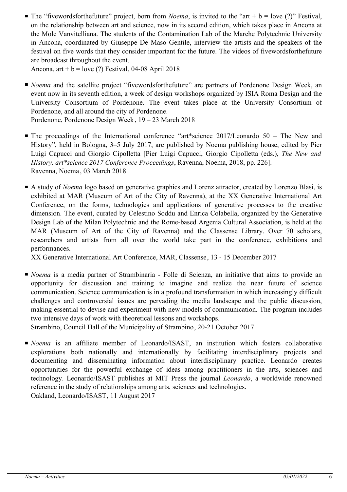The "fivewordsforthefuture" project, born from *Noema*, is invited to the "art +  $b =$  love (?)" Festival, on the relationship between art and science, now in its second edition, which takes place in Ancona at the Mole Vanvitelliana. The students of the Contamination Lab of the Marche Polytechnic University in Ancona, coordinated by Giuseppe De Maso Gentile, interview the artists and the speakers of the festival on five words that they consider important for the future. The videos of fivewordsforthefuture are broadcast throughout the event.

Ancona, art +  $b =$  love (?) Festival, 04-08 April 2018

■ *Noema* and the satellite project "fivewordsforthefuture" are partners of Pordenone Design Week, an event now in its seventh edition, a week of design workshops organized by ISIA Roma Design and the University Consortium of Pordenone. The event takes place at the University Consortium of Pordenone, and all around the city of Pordenone.

Pordenone, Pordenone Design Week, 19 – 23 March 2018

- The proceedings of the International conference "art\*science 2017/Leonardo 50 The New and History", held in Bologna, 3–5 July 2017, are published by Noema publishing house, edited by Pier Luigi Capucci and Giorgio Cipolletta [Pier Luigi Capucci, Giorgio Cipolletta (eds.), *The New and History. art\*science 2017 Conference Proceedings*, Ravenna, Noema, 2018, pp. 226]. Ravenna, Noema , 03 March 2018
- A study of *Noema* logo based on generative graphics and Lorenz attractor, created by Lorenzo Blasi, is exhibited at MAR (Museum of Art of the City of Ravenna), at the XX Generative International Art Conference, on the forms, technologies and applications of generative processes to the creative dimension. The event, curated by Celestino Soddu and Enrica Colabella, organized by the Generative Design Lab of the Milan Polytechnic and the Rome-based Argenia Cultural Association, is held at the MAR (Museum of Art of the City of Ravenna) and the Classense Library. Over 70 scholars, researchers and artists from all over the world take part in the conference, exhibitions and performances.

XX Generative International Art Conference, MAR, Classense , 13 - 15 December 2017

■ *Noema* is a media partner of Strambinaria - Folle di Scienza, an initiative that aims to provide an opportunity for discussion and training to imagine and realize the near future of science communication. Science communication is in a profound transformation in which increasingly difficult challenges and controversial issues are pervading the media landscape and the public discussion, making essential to devise and experiment with new models of communication. The program includes two intensive days of work with theoretical lessons and workshops.

Strambino, Council Hall of the Municipality of Strambino, 20-21 October 2017

■ *Noema* is an affiliate member of Leonardo/ISAST, an institution which fosters collaborative explorations both nationally and internationally by facilitating interdisciplinary projects and documenting and disseminating information about interdisciplinary practice. Leonardo creates opportunities for the powerful exchange of ideas among practitioners in the arts, sciences and technology. Leonardo/ISAST publishes at MIT Press the journal *Leonardo*, a worldwide renowned reference in the study of relationships among arts, sciences and technologies. Oakland, Leonardo/ISAST, 11 August 2017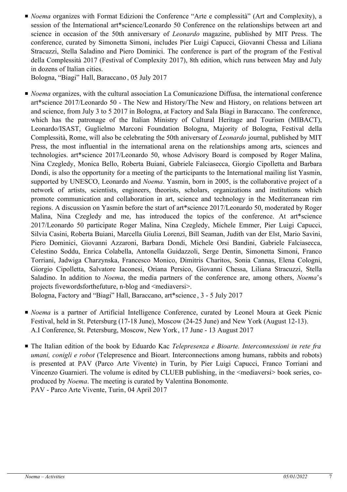■ *Noema* organizes with Format Edizioni the Conference "Arte e complessità" (Art and Complexity), a session of the International art\*science/Leonardo 50 Conference on the relationships between art and science in occasion of the 50th anniversary of *Leonardo* magazine, published by MIT Press. The conference, curated by Simonetta Simoni, includes Pier Luigi Capucci, Giovanni Chessa and Liliana Stracuzzi, Stella Saladino and Piero Dominici. The conference is part of the program of the Festival della Complessità 2017 (Festival of Complexity 2017), 8th edition, which runs between May and July in dozens of Italian cities.

Bologna, "Biagi" Hall, Baraccano , 05 July 2017

■ *Noema* organizes, with the cultural association La Comunicazione Diffusa, the international conference art\*science 2017/Leonardo 50 - The New and History/The New and History, on relations between art and science, from July 3 to 5 2017 in Bologna, at Factory and Sala Biagi in Baraccano. The conference, which has the patronage of the Italian Ministry of Cultural Heritage and Tourism (MIBACT), Leonardo/ISAST, Guglielmo Marconi Foundation Bologna, Majority of Bologna, Festival della Complessità, Rome, will also be celebrating the 50th aniversary of *Leonardo* journal, published by MIT Press, the most influential in the international arena on the relationships among arts, sciences and technologies. art\*science 2017/Leonardo 50, whose Advisory Board is composed by Roger Malina, Nina Czegledy, Monica Bello, Roberta Buiani, Gabriele Falciasecca, Giorgio Cipolletta and Barbara Dondi, is also the opportunity for a meeting of the participants to the International mailing list Yasmin, supported by UNESCO, Leonardo and *Noema*. Yasmin, born in 2005, is the collaborative project of a network of artists, scientists, engineers, theorists, scholars, organizations and institutions which promote communication and collaboration in art, science and technology in the Mediterranean rim regions. A discussion on Yasmin before the start of art\*science 2017/Leonardo 50, moderated by Roger Malina, Nina Czegledy and me, has introduced the topics of the conference. At art\*science 2017/Leonardo 50 participate Roger Malina, Nina Czegledy, Michele Emmer, Pier Luigi Capucci, Silvia Casini, Roberta Buiani, Marcella Giulia Lorenzi, Bill Seaman, Judith van der Elst, Mario Savini, Piero Dominici, Giovanni Azzaroni, Barbara Dondi, Michele Orsi Bandini, Gabriele Falciasecca, Celestino Soddu, Enrica Colabella, Antonella Guidazzoli, Serge Dentin, Simonetta Simoni, Franco Torriani, Jadwiga Charzynska, Francesco Monico, Dimitris Charitos, Sonia Cannas, Elena Cologni, Giorgio Cipolletta, Salvatore Iaconesi, Oriana Persico, Giovanni Chessa, Liliana Stracuzzi, Stella Saladino. In addition to *Noema*, the media partners of the conference are, among others, *Noema*'s projects fivewordsforthefuture, n-blog and  $\leq$ mediaversi $\geq$ .

Bologna, Factory and "Biagi" Hall, Baraccano, art\*science , 3 - 5 July 2017

- *Noema* is a partner of Artificial Intelligence Conference, curated by Leonel Moura at Geek Picnic Festival, held in St. Petersburg (17-18 June), Moscow (24-25 June) and New York (August 12-13). A.I Conference, St. Petersburg, Moscow, New York, 17 June - 13 August 2017
- The Italian edition of the book by Eduardo Kac *Telepresenza e Bioarte. Interconnessioni in rete fra umani, conigli e robot* (Telepresence and Bioart. Interconnections among humans, rabbits and robots) is presented at PAV (Parco Arte Vivente) in Turin, by Pier Luigi Capucci, Franco Torriani and Vincenzo Guarnieri. The volume is edited by CLUEB publishing, in the <mediaversi> book series, coproduced by *Noema*. The meeting is curated by Valentina Bonomonte. PAV - Parco Arte Vivente, Turin, 04 April 2017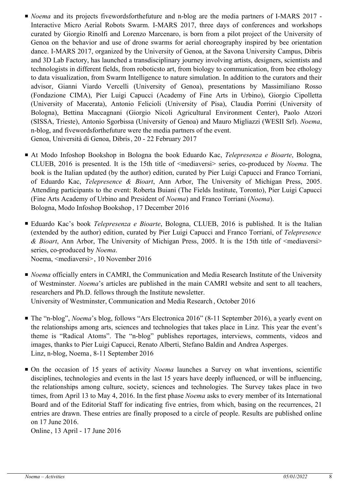- *Noema* and its projects fivewordsforthefuture and n-blog are the media partners of I-MARS 2017 -Interactive Micro Aerial Robots Swarm. I-MARS 2017, three days of conferences and workshops curated by Giorgio Rinolfi and Lorenzo Marcenaro, is born from a pilot project of the University of Genoa on the behavior and use of drone swarms for aerial choreography inspired by bee orientation dance. I-MARS 2017, organized by the University of Genoa, at the Savona University Campus, Dibris and 3D Lab Factory, has launched a transdisciplinary journey involving artists, designers, scientists and technologists in different fields, from roboticsto art, from biology to communication, from bee ethology to data visualization, from Swarm Intelligence to nature simulation. In addition to the curators and their advisor, Gianni Viardo Vercelli (University of Genoa), presentations by Massimiliano Rosso (Fondazione CIMA), Pier Luigi Capucci (Academy of Fine Arts in Urbino), Giorgio Cipolletta (University of Macerata), Antonio Felicioli (University of Pisa), Claudia Porrini (University of Bologna), Bettina Maccagnani (Giorgio Nicoli Agricultural Environment Center), Paolo Atzori (SISSA, Trieste), Antonio Sgorbissa (University of Genoa) and Mauro Migliazzi (WESII Srl). *Noema*, n-blog, and fivewordsforthefuture were the media partners of the event. Genoa, Università di Genoa, Dibris, 20 - 22 February 2017
- At Modo Infoshop Bookshop in Bologna the book Eduardo Kac, *Telepresenza e Bioarte*, Bologna, CLUEB, 2016 is presented. It is the 15th title of <mediaversi> series, co-produced by *Noema*. The book is the Italian updated (by the author) edition, curated by Pier Luigi Capucci and Franco Torriani, of Eduardo Kac, *Telepresence & Bioart*, Ann Arbor, The University of Michigan Press, 2005. Attending participants to the event: Roberta Buiani (The Fields Institute, Toronto), Pier Luigi Capucci (Fine Arts Academy of Urbino and President of *Noema*) and Franco Torriani (*Noema*). Bologna, Modo Infoshop Bookshop, 17 December 2016
- Eduardo Kac's book *Telepresenza e Bioarte*, Bologna, CLUEB, 2016 is published. It is the Italian (extended by the author) edition, curated by Pier Luigi Capucci and Franco Torriani, of *Telepresence & Bioart*, Ann Arbor, The University of Michigan Press, 2005. It is the 15th title of <mediaversi> series, co-produced by *Noema*.

Noema, <mediaversi>, 10 November 2016

- *Noema* officially enters in CAMRI, the Communication and Media Research Institute of the University of Westminster. *Noema*'s articles are published in the main CAMRI website and sent to all teachers, researchers and Ph.D. fellows through the Institute newsletter. University of Westminster, Communication and Media Research , October 2016
- The "n-blog", *Noema*'s blog, follows "Ars Electronica 2016" (8-11 September 2016), a yearly event on the relationships among arts, sciences and technologies that takes place in Linz. This year the event's theme is "Radical Atoms". The "n-blog" publishes reportages, interviews, comments, videos and images, thanks to Pier Luigi Capucci, Renato Alberti, Stefano Baldin and Andrea Asperges. Linz, n-blog, Noema, 8-11 September 2016
- On the occasion of 15 years of activity *Noema* launches a Survey on what inventions, scientific disciplines, technologies and events in the last 15 years have deeply influenced, or will be influencing, the relationships among culture, society, sciences and technologies. The Survey takes place in two times, from April 13 to May 4, 2016. In the first phase *Noema* asks to every member of its International Board and of the Editorial Staff for indicating five entries, from which, basing on the recurrences, 21 entries are drawn. These entries are finally proposed to a circle of people. Results are published online on 17 June 2016.

Online , 13 April - 17 June 2016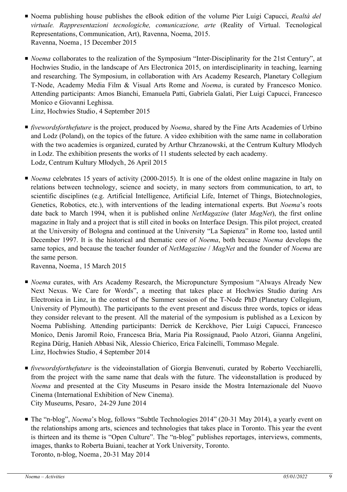- Noema publishing house publishes the eBook edition of the volume Pier Luigi Capucci, *Realtà del virtuale. Rappresentazioni tecnologiche, comunicazione, arte* (Reality of Virtual. Tecnological Representations, Communication, Art), Ravenna, Noema, 2015. Ravenna, Noema , 15 December 2015
- *Noema* collaborates to the realization of the Symposium "Inter-Disciplinarity for the 21st Century", at Hochwies Studio, in the landscape of Ars Electronica 2015, on interdisciplinarity in teaching, learning and researching. The Symposium, in collaboration with Ars Academy Research, Planetary Collegium T-Node, Academy Media Film & Visual Arts Rome and *Noema*, is curated by Francesco Monico. Attending participants: Amos Bianchi, Emanuela Patti, Gabriela Galati, Pier Luigi Capucci, Francesco Monico e Giovanni Leghissa.

Linz, Hochwies Studio, 4 September 2015

- *fivewordsforthefuture* is the project, produced by *Noema*, shared by the Fine Arts Academies of Urbino and Lodz (Poland), on the topics of the future. A video exhibition with the same name in collaboration with the two academies is organized, curated by Arthur Chrzanowski, at the Centrum Kultury Młodych in Lodz. The exhibition presents the works of 11 students selected by each academy. Lodz, Centrum Kultury Młodych, 26 April 2015
- *Noema* celebrates 15 years of activity (2000-2015). It is one of the oldest online magazine in Italy on relations between technology, science and society, in many sectors from communication, to art, to scientific disciplines (e.g. Artificial Intelligence, Artificial Life, Internet of Things, Biotechnologies, Genetics, Robotics, etc.), with interventions of the leading international experts. But *Noema*'s roots date back to March 1994, when it is published online *NetMagazine* (later *MagNet*), the first online magazine in Italy and a project that is still cited in books on Interface Design. This pilot project, created at the University of Bologna and continued at the University "La Sapienza" in Rome too, lasted until December 1997. It is the historical and thematic core of *Noema*, both because *Noema* develops the same topics, and because the teacher founder of *NetMagazine* / *MagNet* and the founder of *Noema* are the same person.

Ravenna, Noema , 15 March 2015

- *Noema* curates, with Ars Academy Research, the Micropuncture Symposium "Always Already New Next Nexus. We Care for Words", a meeting that takes place at Hochwies Studio during Ars Electronica in Linz, in the contest of the Summer session of the T-Node PhD (Planetary Collegium, University of Plymouth). The participants to the event present and discuss three words, topics or ideas they consider relevant to the present. All the material of the symposium is published as a Lexicon by Noema Publishing. Attending participants: Derrick de Kerckhove, Pier Luigi Capucci, Francesco Monico, Denis Jaromil Roio, Francesca Bria, Maria Pia Rossignaud, Paolo Atzori, Gianna Angelini, Regina Dürig, Hanieh Abbasi Nik, Alessio Chierico, Erica Falcinelli, Tommaso Megale. Linz, Hochwies Studio, 4 September 2014
- *fivewordsforthefuture* is the videoinstallation of Giorgia Benvenuti, curated by Roberto Vecchiarelli, from the project with the same name that deals with the future. The videonstallation is produced by *Noema* and presented at the City Museums in Pesaro inside the Mostra Internazionale del Nuovo Cinema (International Exhibition of New Cinema). City Museums, Pesaro, 24-29 June 2014
- The "n-blog", *Noema*'s blog, follows "Subtle Technologies 2014" (20-31 May 2014), a yearly event on the relationships among arts, sciences and technologies that takes place in Toronto. This year the event is thirteen and its theme is "Open Culture". The "n-blog" publishes reportages, interviews, comments, images, thanks to Roberta Buiani, teacher at York University, Toronto. Toronto, n-blog, Noema , 20-31 May 2014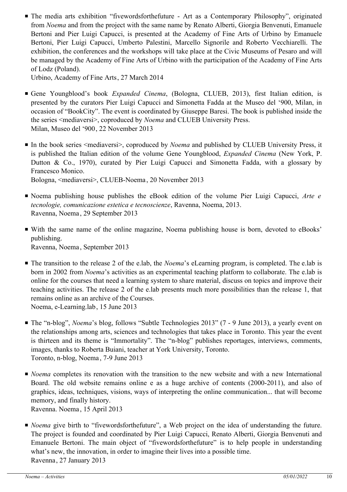■ The media arts exhibition "fivewordsforthefuture - Art as a Contemporary Philosophy", originated from *Noema* and from the project with the same name by Renato Alberti, Giorgia Benvenuti, Emanuele Bertoni and Pier Luigi Capucci, is presented at the Academy of Fine Arts of Urbino by Emanuele Bertoni, Pier Luigi Capucci, Umberto Palestini, Marcello Signorile and Roberto Vecchiarelli. The exhibition, the conferences and the workshops will take place at the Civic Museums of Pesaro and will be managed by the Academy of Fine Arts of Urbino with the participation of the Academy of Fine Arts of Lodz (Poland).

Urbino, Academy of Fine Arts, 27 March 2014

- Gene Youngblood's book *Expanded Cinema*, (Bologna, CLUEB, 2013), first Italian edition, is presented by the curators Pier Luigi Capucci and Simonetta Fadda at the Museo del '900, Milan, in occasion of "BookCity". The event is coordinated by Giuseppe Baresi. The book is published inside the the series <mediaversi>, coproduced by *Noema* and CLUEB University Press. Milan, Museo del '900, 22 November 2013
- In the book series <mediaversi>, coproduced by *Noema* and published by CLUEB University Press, it is published the Italian edition of the volume Gene Youngblood, *Expanded Cinema* (New York, P. Dutton & Co., 1970), curated by Pier Luigi Capucci and Simonetta Fadda, with a glossary by Francesco Monico. Bologna, <mediaversi>, CLUEB-Noema , 20 November 2013
- Noema publishing house publishes the eBook edition of the volume Pier Luigi Capucci, Arte e *tecnologie, comunicazione estetica e tecnoscienze*, Ravenna, Noema, 2013. Ravenna, Noema , 29 September 2013
- With the same name of the online magazine, Noema publishing house is born, devoted to eBooks' publishing. Ravenna, Noema , September 2013
- The transition to the release 2 of the e.lab, the *Noema*'s eLearning program, is completed. The e.lab is born in 2002 from *Noema*'s activities as an experimental teaching platform to collaborate. The e.lab is online for the courses that need a learning system to share material, discuss on topics and improve their teaching activities. The release 2 of the e.lab presents much more possibilities than the release 1, that remains online as an archive of the Courses. Noema, e-Learning.lab, 15 June 2013
- The "n-blog", *Noema*'s blog, follows "Subtle Technologies 2013" (7 9 June 2013), a yearly event on the relationships among arts, sciences and technologies that takes place in Toronto. This year the event is thirteen and its theme is "Immortality". The "n-blog" publishes reportages, interviews, comments, images, thanks to Roberta Buiani, teacher at York University, Toronto. Toronto, n-blog, Noema , 7-9 June 2013
- *Noema* completes its renovation with the transition to the new website and with a new International Board. The old website remains online e as a huge archive of contents (2000-2011), and also of graphics, ideas, techniques, visions, ways of interpreting the online communication... that will become memory, and finally history. Ravenna. Noema , 15 April 2013
- *Noema* give birth to "fivewordsforthefuture", a Web project on the idea of understanding the future. The project is founded and coordinated by Pier Luigi Capucci, Renato Alberti, Giorgia Benvenuti and Emanuele Bertoni. The main object of "fivewordsforthefuture" is to help people in understanding what's new, the innovation, in order to imagine their lives into a possible time. Ravenna, 27 January 2013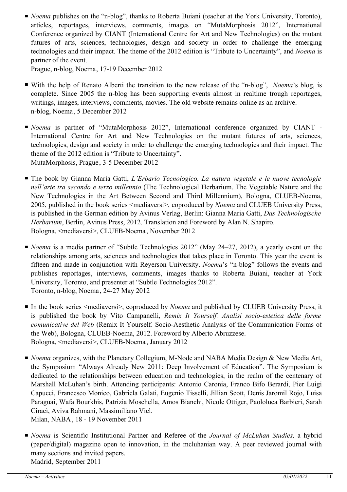■ *Noema* publishes on the "n-blog", thanks to Roberta Buiani (teacher at the York University, Toronto), articles, reportages, interviews, comments, images on "MutaMorphosis 2012", International Conference organized by CIANT (International Centre for Art and New Technologies) on the mutant futures of arts, sciences, technologies, design and society in order to challenge the emerging technologies and their impact. The theme of the 2012 edition is "Tribute to Uncertainty", and *Noema* is partner of the event.

Prague, n-blog, Noema, 17-19 December 2012

- With the help of Renato Alberti the transition to the new release of the "n-blog", *Noema*'s blog, is complete. Since 2005 the n-blog has been supporting events almost in realtime trough reportages, writings, images, interviews, comments, movies. The old website remains online as an archive. n-blog, Noema, 5 December 2012
- *Noema* is partner of "MutaMorphosis 2012", International conference organized by CIANT -International Centre for Art and New Technologies on the mutant futures of arts, sciences, technologies, design and society in order to challenge the emerging technologies and their impact. The theme of the 2012 edition is "Tribute to Uncertainty". MutaMorphosis, Prague, 3-5 December 2012
- The book by Gianna Maria Gatti, *L'Erbario Tecnologico. La natura vegetale e le nuove tecnologie nell'arte tra secondo e terzo millennio* (The Technological Herbarium. The Vegetable Nature and the New Technologies in the Art Between Second and Third Millennium), Bologna, CLUEB-Noema, 2005, published in the book series <mediaversi>, coproduced by *Noema* and CLUEB University Press, is published in the German edition by Avinus Verlag, Berlin: Gianna Maria Gatti, *Das Technologische Herbarium*, Berlin, Avinus Press, 2012. Translation and Foreword by Alan N. Shapiro. Bologna, <mediaversi>, CLUEB-Noema , November 2012
- *Noema* is a media partner of "Subtle Technologies 2012" (May 24–27, 2012), a yearly event on the relationships among arts, sciences and technologies that takes place in Toronto. This year the event is fifteen and made in conjunction with Reyerson University. *Noema*'s "n-blog" follows the events and publishes reportages, interviews, comments, images thanks to Roberta Buiani, teacher at York University, Toronto, and presenter at "Subtle Technologies 2012". Toronto, n-blog, Noema , 24-27 May 2012
- In the book series <mediaversi>, coproduced by *Noema* and published by CLUEB University Press, it is published the book by Vito Campanelli, *Remix It Yourself. Analisi socio-estetica delle forme comunicative del Web* (Remix It Yourself. Socio-Aesthetic Analysis of the Communication Forms of the Web), Bologna, CLUEB-Noema, 2012. Foreword by Alberto Abruzzese. Bologna, <mediaversi>, CLUEB-Noema , January 2012
- *Noema* organizes, with the Planetary Collegium, M-Node and NABA Media Design & New Media Art, the Symposium "Always Already New 2011: Deep Involvement of Education". The Symposium is dedicated to the relationships between education and technologies, in the realm of the centenary of Marshall McLuhan's birth. Attending participants: Antonio Caronia, Franco Bifo Berardi, Pier Luigi Capucci, Francesco Monico, Gabriela Galati, Eugenio Tisselli, Jillian Scott, Denis Jaromil Rojo, Luisa Paraguai, Wafa Bourkhis, Patrizia Moschella, Amos Bianchi, Nicole Ottiger, Paololuca Barbieri, Sarah Ciracì, Aviva Rahmani, Massimiliano Viel. Milan, NABA, 18 - 19 November 2011
- *Noema* is Scientific Institutional Partner and Referee of the *Journal of McLuhan Studies*, a hybrid (paper/digital) magazine open to innovation, in the mcluhanian way. A peer reviewed journal with many sections and invited papers. Madrid, September 2011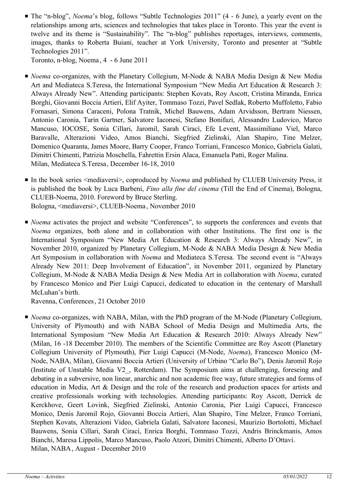■ The "n-blog", *Noema*'s blog, follows "Subtle Technologies 2011" (4 - 6 June), a yearly event on the relationships among arts, sciences and technologies that takes place in Toronto. This year the event is twelve and its theme is "Sustainability". The "n-blog" publishes reportages, interviews, comments, images, thanks to Roberta Buiani, teacher at York University, Toronto and presenter at "Subtle Technologies 2011".

Toronto, n-blog, Noema , 4 - 6 June 2011

- *Noema* co-organizes, with the Planetary Collegium, M-Node & NABA Media Design & New Media Art and Mediateca S.Teresa, the International Symposium "New Media Art Education & Research 3: Always Already New". Attending participants: Stephen Kovats, Roy Ascott, Cristina Miranda, Enrica Borghi, Giovanni Boccia Artieri, Elif Ayiter, Tommaso Tozzi, Pavel Sedlak, Roberto Muffoletto, Fabio Fornasari, Simona Caraceni, Polona Tratnik, Michel Bauwens, Adam Arvidsson, Bertram Niessen, Antonio Caronia, Tarin Gartner, Salvatore Iaconesi, Stefano Bonifazi, Alessandro Ludovico, Marco Mancuso, IOCOSE, Sonia Cillari, Jaromil, Sarah Ciracì, Efe Levent, Massimiliano Viel, Marco Baravalle, Alterazioni Video, Amos Bianchi, Siegfried Zielinski, Alan Shapiro, Tine Melzer, Domenico Quaranta, James Moore, Barry Cooper, Franco Torriani, Francesco Monico, Gabriela Galati, Dimitri Chimenti, Patrizia Moschella, Fahrettin Ersin Alaca, Emanuela Patti, Roger Malina. Milan, Mediateca S.Teresa, December 16-18, 2010
- In the book series <mediaversi>, coproduced by *Noema* and published by CLUEB University Press, it is published the book by Luca Barbeni, *Fino alla fine del cinema* (Till the End of Cinema), Bologna, CLUEB-Noema, 2010. Foreword by Bruce Sterling. Bologna, <mediaversi>, CLUEB-Noema , November 2010
- *Noema* activates the project and website "Conferences", to supports the conferences and events that *Noema* organizes, both alone and in collaboration with other Institutions. The first one is the International Symposium "New Media Art Education & Research 3: Always Already New", in November 2010, organized by Planetary Collegium, M-Node & NABA Media Design & New Media Art Symposium in collaboration with *Noema* and Mediateca S.Teresa. The second event is "Always Already New 2011: Deep Involvement of Education", in November 2011, organized by Planetary Collegium, M-Node & NABA Media Design & New Media Art in collaboration with *Noema*, curated by Francesco Monico and Pier Luigi Capucci, dedicated to education in the centenary of Marshall McLuhan's birth.

Ravenna, Conferences, 21 October 2010

■ *Noema* co-organizes, with NABA, Milan, with the PhD program of the M-Node (Planetary Collegium, University of Plymouth) and with NABA School of Media Design and Multimedia Arts, the International Symposium "New Media Art Education & Research 2010: Always Already New" (Milan, 16 -18 December 2010). The members of the Scientific Committee are Roy Ascott (Planetary Collegium University of Plymouth), Pier Luigi Capucci (M-Node, *Noema*), Francesco Monico (M-Node, NABA, Milan), Giovanni Boccia Artieri (University of Urbino "Carlo Bo"), Denis Jaromil Rojo (Institute of Unstable Media V2\_, Rotterdam). The Symposium aims at challenging, foreseing and debating in a subversive, non linear, anarchic and non academic free way, future strategies and forms of education in Media, Art & Design and the role of the research and production spaces for artists and creative professionals working with technologies. Attending participants: Roy Ascott, Derrick de Kerckhove, Geert Lovink, Siegfried Zielinski, Antonio Caronia, Pier Luigi Capucci, Francesco Monico, Denis Jaromil Rojo, Giovanni Boccia Artieri, Alan Shapiro, Tine Melzer, Franco Torriani, Stephen Kovats, Alterazioni Video, Gabriela Galati, Salvatore Iaconesi, Maurizio Bortolotti, Michael Bauwens, Sonia Cillari, Sarah Ciracì, Enrica Borghi, Tommaso Tozzi, Andris Brinckmanis, Amos Bianchi, Maresa Lippolis, Marco Mancuso, Paolo Atzori, Dimitri Chimenti, Alberto D'Ottavi. Milan, NABA, August - December 2010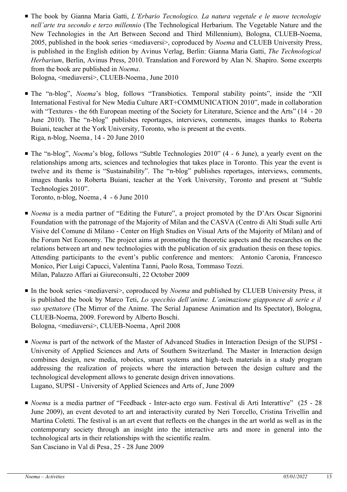The book by Gianna Maria Gatti, *L'Erbario Tecnologico. La natura vegetale e le nuove tecnologie* ■ *nell'arte tra secondo e terzo millennio* (The Technological Herbarium. The Vegetable Nature and the New Technologies in the Art Between Second and Third Millennium), Bologna, CLUEB-Noema, 2005, published in the book series <mediaversi>, coproduced by *Noema* and CLUEB University Press, is published in the English edition by Avinus Verlag, Berlin: Gianna Maria Gatti, *The Technological Herbarium*, Berlin, Avinus Press, 2010. Translation and Foreword by Alan N. Shapiro. Some excerpts from the book are published in *Noema*.

Bologna, <mediaversi>, CLUEB-Noema , June 2010

- The "n-blog", *Noema*'s blog, follows "Transbiotics. Temporal stability points", inside the "XII International Festival for New Media Culture ART+COMMUNICATION 2010", made in collaboration with "Textures - the 6th European meeting of the Society for Literature, Science and the Arts" (14 - 20) June 2010). The "n-blog" publishes reportages, interviews, comments, images thanks to Roberta Buiani, teacher at the York University, Toronto, who is present at the events. Riga, n-blog, Noema , 14 - 20 June 2010
- The "n-blog", *Noema*'s blog, follows "Subtle Technologies 2010" (4 6 June), a yearly event on the relationships among arts, sciences and technologies that takes place in Toronto. This year the event is twelve and its theme is "Sustainability". The "n-blog" publishes reportages, interviews, comments, images thanks to Roberta Buiani, teacher at the York University, Toronto and present at "Subtle Technologies 2010".

Toronto, n-blog, Noema , 4 - 6 June 2010

- *Noema* is a media partner of "Editing the Future", a project promoted by the D'Ars Oscar Signorini Foundation with the patronage of the Majority of Milan and the CASVA (Centro di Alti Studi sulle Arti Visive del Comune di Milano - Center on High Studies on Visual Arts of the Majority of Milan) and of the Forum Net Economy. The project aims at promoting the theoretic aspects and the researches on the relations between art and new technologies with the publication of six graduation thesis on these topics. Attending participants to the event's public conference and mentors: Antonio Caronia, Francesco Monico, Pier Luigi Capucci, Valentina Tanni, Paolo Rosa, Tommaso Tozzi. Milan, Palazzo Affari ai Giureconsulti, 22 October 2009
- In the book series <mediaversi>, coproduced by *Noema* and published by CLUEB University Press, it is published the book by Marco Teti, *Lo specchio dell'anime. L'animazione giapponese di serie e il suo spettatore* (The Mirror of the Anime. The Serial Japanese Animation and Its Spectator), Bologna, CLUEB-Noema, 2009. Foreword by Alberto Boschi. Bologna, <mediaversi>, CLUEB-Noema , April 2008
- *Noema* is part of the network of the Master of Advanced Studies in Interaction Design of the SUPSI -University of Applied Sciences and Arts of Southern Switzerland. The Master in Interaction design combines design, new media, robotics, smart systems and high–tech materials in a study program addressing the realization of projects where the interaction between the design culture and the technological development allows to generate design driven innovations. Lugano, SUPSI - University of Applied Sciences and Arts of , June 2009
- *Noema* is a media partner of "Feedback Inter-acto ergo sum. Festival di Arti Interattive" (25 28 June 2009), an event devoted to art and interactivity curated by Neri Torcello, Cristina Trivellin and Martina Coletti. The festival is an art event that reflects on the changes in the art world as well as in the contemporary society through an insight into the interactive arts and more in general into the technological arts in their relationships with the scientific realm. San Casciano in Val di Pesa, 25 - 28 June 2009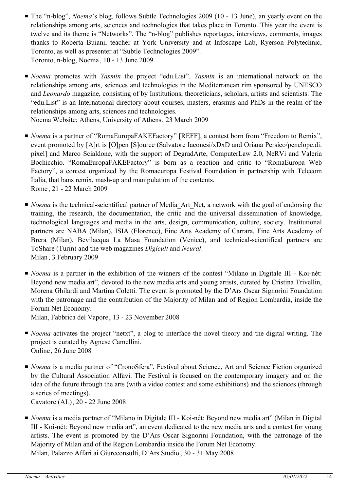- The "n-blog", *Noema*'s blog, follows Subtle Technologies 2009 (10 13 June), an yearly event on the relationships among arts, sciences and technologies that takes place in Toronto. This year the event is twelve and its theme is "Networks". The "n-blog" publishes reportages, interviews, comments, images thanks to Roberta Buiani, teacher at York University and at Infoscape Lab, Ryerson Polytechnic, Toronto, as well as presenter at "Subtle Technologies 2009". Toronto, n-blog, Noema , 10 - 13 June 2009
- *Noema* promotes with *Yasmin* the project "edu.List". *Yasmin* is an international network on the relationships among arts, sciences and technologies in the Mediterranean rim sponsored by UNESCO and *Leonardo* magazine, consisting of by Institutions, theoreticians, scholars, artists and scientists. The "edu.List" is an International directory about courses, masters, erasmus and PhDs in the realm of the relationships among arts, sciences and technologies.

Noema Website; Athens, University of Athens, 23 March 2009

- *Noema* is a partner of "RomaEuropaFAKEFactory" [REFF], a contest born from "Freedom to Remix", event promoted by [A]rt is [O]pen [S]ource (Salvatore Iaconesi/xDxD and Oriana Persico/penelope.di. pixel] and Marco Scialdone, with the support of DegradArte, ComputerLaw 2.0, NeRVi and Valeria Bochicchio. "RomaEuropaFAKEFactory" is born as a reaction and critic to "RomaEuropa Web Factory", a contest organized by the Romaeuropa Festival Foundation in partnership with Telecom Italia, that bans remix, mash-up and manipulation of the contents. Rome , 21 - 22 March 2009
- *Noema* is the technical-scientifical partner of Media\_Art\_Net, a network with the goal of endorsing the training, the research, the documentation, the critic and the universal dissemination of knowledge, technological languages and media in the arts, design, communication, culture, society. Institutional partners are NABA (Milan), ISIA (Florence), Fine Arts Academy of Carrara, Fine Arts Academy of Brera (Milan), Bevilacqua La Masa Foundation (Venice), and technical-scientifical partners are ToShare (Turin) and the web magazines *Digicult* and *Neural*. Milan, 3 February 2009
- *Noema* is a partner in the exhibition of the winners of the contest "Milano in Digitale III Koi-nét: Beyond new media art", devoted to the new media arts and young artists, curated by Cristina Trivellin, Morena Ghilardi and Martina Coletti. The event is promoted by the D'Ars Oscar Signorini Foundation with the patronage and the contribution of the Majority of Milan and of Region Lombardia, inside the Forum Net Economy.

Milan, Fabbrica del Vapore , 13 - 23 November 2008

- *Noema* activates the project "netxt", a blog to interface the novel theory and the digital writing. The project is curated by Agnese Camellini. Online , 26 June 2008
- *Noema* is a media partner of "CronoSfera", Festival about Science, Art and Science Fiction organized by the Cultural Association Alfavì. The Festival is focused on the contemporary imagery and on the idea of the future through the arts (with a video contest and some exhibitions) and the sciences (through a series of meetings).

Cavatore (AL), 20 - 22 June 2008

■ *Noema* is a media partner of "Milano in Digitale III - Koi-nét: Beyond new media art" (Milan in Digital III - Koi-nét: Beyond new media art", an event dedicated to the new media arts and a contest for young artists. The event is promoted by the D'Ars Oscar Signorini Foundation, with the patronage of the Majority of Milan and of the Region Lombardia inside the Forum Net Economy. Milan, Palazzo Affari ai Giureconsulti, D'Ars Studio , 30 - 31 May 2008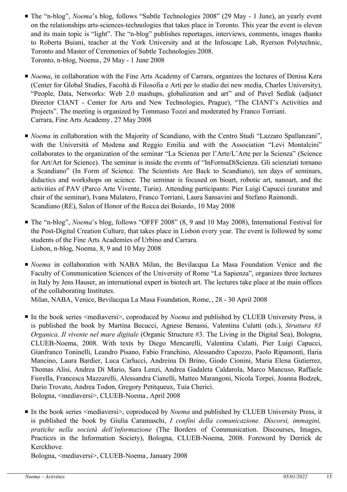- The "n-blog", *Noema*'s blog, follows "Subtle Technologies 2008" (29 May 1 June), an yearly event on the relationships arts-sciences-technologies that takes place in Toronto. This year the event is eleven and its main topic is "light". The "n-blog" publishes reportages, interviews, comments, images thanks to Roberta Buiani, teacher at the York University and at the Infoscape Lab, Ryerson Polytechnic, Toronto and Master of Ceremonies of Subtle Technologies 2008. Toronto, n-blog, Noema , 29 May - 1 June 2008
- *Noema*, in collaboration with the Fine Arts Academy of Carrara, organizes the lectures of Denisa Kera (Center for Global Studies, Facoltà di Filosofia e Arti per lo studio dei new media, Charles University), "People, Data, Networks: Web 2.0 mashups, globalization and art" and of Pavel Sedlak (adjunct Director CIANT - Center for Arts and New Technologies, Prague), "The CIANT's Activities and Projects". The meeting is organized by Tommaso Tozzi and moderated by Franco Torriani. Carrara, Fine Arts Academy, 27 May 2008
- *Noema* in collaboration with the Majority of Scandiano, with the Centro Studi "Lazzaro Spallanzani", with the Università of Modena and Reggio Emilia and with the Association "Levi Montalcini" collaborates to the organization of the seminar "La Scienza per l'Arte/L'Arte per la Scienza" (Science for Art/Art for Science). The seminar is inside the events of "InFormaDiScienza. Gli scienziati tornano a Scandiano" (In Form of Science. The Scientists Are Back to Scandiano), ten days of seminars, didactics and workshops on science. The seminar is focused on bioart, robotic art, nanoart, and the activities of PAV (Parco Arte Vivente, Turin). Attending participants: Pier Luigi Capucci (curator and chair of the seminar), Ivana Mulatero, Franco Torriani, Laura Sansavini and Stefano Raimondi. Scandiano (RE), Salon of Honor of the Rocca dei Boiardo, 10 May 2008
- The "n-blog", *Noema*'s blog, follows "OFFF 2008" (8, 9 and 10 May 2008), International Festival for the Post-Digital Creation Culture, that takes place in Lisbon every year. The event is followed by some students of the Fine Arts Academies of Urbino and Carrara. Lisbon, n-blog, Noema, 8, 9 and 10 May 2008
- *Noema* in collaboration with NABA Milan, the Bevilacqua La Masa Foundation Venice and the Faculty of Communication Sciences of the University of Rome "La Sapienza", organizes three lectures in Italy by Jens Hauser, an international expert in biotech art. The lectures take place at the main offices of the collaborating Institutes.

Milan, NABA, Venice, Bevilacqua La Masa Foundation, Rome, , 28 - 30 April 2008

- In the book series <mediaversi>, coproduced by *Noema* and published by CLUEB University Press, it is published the book by Martina Becucci, Agnese Benassi, Valentina Culatti (eds.), *Struttura #3 Organica. Il vivente nel mare digitale* (Organic Structure #3. The Living in the Digital Sea), Bologna, CLUEB-Noema, 2008. With texts by Diego Mencarelli, Valentina Culatti, Pier Luigi Capucci, Gianfranco Toninelli, Leandro Pisano, Fabio Franchino, Alessandro Capozzo, Paolo Ripamonti, Ilaria Mancino, Laura Bardier, Luca Carlucci, Andreina Di Brino, Giodo Cionini, Maria Elena Gutierrez, Thomas Alisi, Andrea Di Mario, Sara Lenzi, Andrea Gadaleta Caldarola, Marco Mancuso, Raffaele Fiorella, Francesca Mazzarelli, Alessandra Cianelli, Matteo Marangoni, Nicola Torpei, Joanna Bodzek, Dario Trovato, Andrea Todon, Gregory Petitqueux, Tuia Cherici. Bologna, <mediaversi>, CLUEB-Noema , April 2008
- In the book series <mediaversi>, coproduced by *Noema* and published by CLUEB University Press, it is published the book by Giulia Caramaschi, *I confini della comunicazione. Discorsi, immagini, pratiche nella società dell'informazione* (The Borders of Communication. Discourses, Images, Practices in the Information Society), Bologna, CLUEB-Noema, 2008. Foreword by Derrick de Kerckhove.

Bologna, <mediaversi>, CLUEB-Noema , January 2008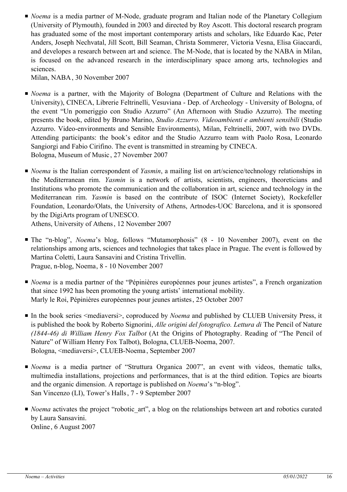■ *Noema* is a media partner of M-Node, graduate program and Italian node of the Planetary Collegium (University of Plymouth), founded in 2003 and directed by Roy Ascott. This doctoral research program has graduated some of the most important contemporary artists and scholars, like Eduardo Kac, Peter Anders, Joseph Nechvatal, Jill Scott, Bill Seaman, Christa Sommerer, Victoria Vesna, Elisa Giaccardi, and developes a research between art and science. The M-Node, that is located by the NABA in Milan, is focused on the advanced research in the interdisciplinary space among arts, technologies and sciences.

Milan, NABA, 30 November 2007

- *Noema* is a partner, with the Majority of Bologna (Department of Culture and Relations with the University), CINECA, Librerie Feltrinelli, Vesuviana - Dep. of Archeology - University of Bologna, of the event "Un pomeriggio con Studio Azzurro" (An Afternoon with Studio Azzurro). The meeting presents the book, edited by Bruno Marino, *Studio Azzurro. Videoambienti e ambienti sensibili* (Studio Azzurro. Video-environments and Sensible Environments), Milan, Feltrinelli, 2007, with two DVDs. Attending participants: the book's editor and the Studio Azzurro team with Paolo Rosa, Leonardo Sangiorgi and Fabio Cirifino. The event is transmitted in streaming by CINECA. Bologna, Museum of Music , 27 November 2007
- *Noema* is the Italian correspondent of *Yasmin*, a mailing list on art/science/technology relationships in the Mediterranean rim. *Yasmin* is a network of artists, scientists, engineers, theoreticians and Institutions who promote the communication and the collaboration in art, science and technology in the Mediterranean rim. *Yasmin* is based on the contribute of ISOC (Internet Society), Rockefeller Foundation, Leonardo/Olats, the University of Athens, Artnodes-UOC Barcelona, and it is sponsored by the DigiArts program of UNESCO.

Athens, University of Athens, 12 November 2007

- The "n-blog", *Noema*'s blog, follows "Mutamorphosis" (8 10 November 2007), event on the relationships among arts, sciences and technologies that takes place in Prague. The event is followed by Martina Coletti, Laura Sansavini and Cristina Trivellin. Prague, n-blog, Noema, 8 - 10 November 2007
- *Noema* is a media partner of the "Pépinières européennes pour jeunes artistes", a French organization that since 1992 has been promoting the young artists' international mobility. Marly le Roi, Pépinières européennes pour jeunes artistes, 25 October 2007
- In the book series <mediaversi>, coproduced by *Noema* and published by CLUEB University Press, it is published the book by Roberto Signorini, *Alle origini del fotografico. Lettura di* The Pencil of Nature *(1844-46) di William Henry Fox Talbot* (At the Origins of Photography. Reading of "The Pencil of Nature" of William Henry Fox Talbot), Bologna, CLUEB-Noema, 2007. Bologna, <mediaversi>, CLUEB-Noema , September 2007
- *Noema* is a media partner of "Struttura Organica 2007", an event with videos, thematic talks, multimedia installations, projections and performances, that is at the third edition. Topics are bioarts and the organic dimension. A reportage is published on *Noema*'s "n-blog". San Vincenzo (LI), Tower's Halls, 7 - 9 September 2007
- *Noema* activates the project "robotic\_art", a blog on the relationships between art and robotics curated by Laura Sansavini. Online , 6 August 2007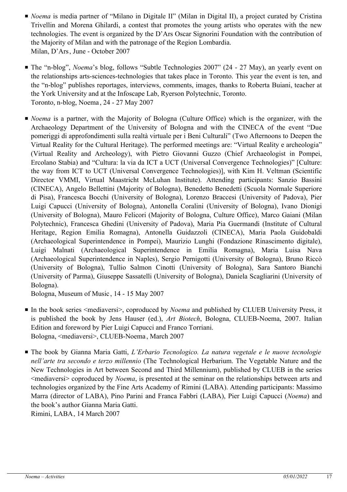- *Noema* is media partner of "Milano in Digitale II" (Milan in Digital II), a project curated by Cristina Trivellin and Morena Ghilardi, a contest that promotes the young artists who operates with the new technologies. The event is organized by the D'Ars Oscar Signorini Foundation with the contribution of the Majority of Milan and with the patronage of the Region Lombardia. Milan, D'Ars, June - October 2007
- The "n-blog", *Noema*'s blog, follows "Subtle Technologies 2007" (24 27 May), an yearly event on the relationships arts-sciences-technologies that takes place in Toronto. This year the event is ten, and the "n-blog" publishes reportages, interviews, comments, images, thanks to Roberta Buiani, teacher at the York University and at the Infoscape Lab, Ryerson Polytechnic, Toronto. Toronto, n-blog, Noema , 24 - 27 May 2007
- *Noema* is a partner, with the Majority of Bologna (Culture Office) which is the organizer, with the Archaeology Department of the University of Bologna and with the CINECA of the event "Due pomeriggi di approfondimenti sulla realtà virtuale per i Beni Culturali" (Two Afternoons to Deepen the Virtual Reality for the Cultural Heritage). The performed meetings are: "Virtual Reality e archeologia" (Virtual Reality and Archeology), with Pietro Giovanni Guzzo (Chief Archaeologist in Pompei, Ercolano Stabia) and "Cultura: la via da ICT a UCT (Universal Convergence Technologies)" [Culture: the way from ICT to UCT (Universal Convergence Technologies)], with Kim H. Veltman (Scientific Director VMMI, Virtual Maastricht McLuhan Institute). Attending participants: Sanzio Bassini (CINECA), Angelo Bellettini (Majority of Bologna), Benedetto Benedetti (Scuola Normale Superiore di Pisa), Francesca Bocchi (University of Bologna), Lorenzo Braccesi (University of Padova), Pier Luigi Capucci (University of Bologna), Antonella Coralini (University of Bologna), Ivano Dionigi (University of Bologna), Mauro Felicori (Majority of Bologna, Culture Office), Marco Gaiani (Milan Polytechnic), Francesca Ghedini (University of Padova), Maria Pia Guermandi (Institute of Cultural Heritage, Region Emilia Romagna), Antonella Guidazzoli (CINECA), Maria Paola Guidobaldi (Archaeological Superintendence in Pompei), Maurizio Lunghi (Fondazione Rinascimento digitale), Luigi Malnati (Archaeological Superintendence in Emilia Romagna), Maria Luisa Nava (Archaeological Superintendence in Naples), Sergio Pernigotti (University of Bologna), Bruno Riccò (University of Bologna), Tullio Salmon Cinotti (University of Bologna), Sara Santoro Bianchi (University of Parma), Giuseppe Sassatelli (University of Bologna), Daniela Scagliarini (University of Bologna).

Bologna, Museum of Music , 14 - 15 May 2007

- In the book series <mediaversi>, coproduced by *Noema* and published by CLUEB University Press, it is published the book by Jens Hauser (ed.), *Art Biotech*, Bologna, CLUEB-Noema, 2007. Italian Edition and foreword by Pier Luigi Capucci and Franco Torriani. Bologna, <mediaversi>, CLUEB-Noema , March 2007
- The book by Gianna Maria Gatti, *L'Erbario Tecnologico. La natura vegetale e le nuove tecnologie nell'arte tra secondo e terzo millennio* (The Technological Herbarium. The Vegetable Nature and the New Technologies in Art between Second and Third Millennium), published by CLUEB in the series <mediaversi> coproduced by *Noema*, is presented at the seminar on the relationships between arts and technologies organized by the Fine Arts Academy of Rimini (LABA). Attending participants: Massimo Marra (director of LABA), Pino Parini and Franca Fabbri (LABA), Pier Luigi Capucci (*Noema*) and the book's author Gianna Maria Gatti.

Rimini, LABA, 14 March 2007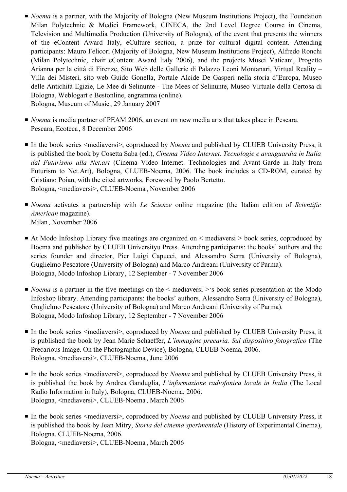- *Noema* is a partner, with the Majority of Bologna (New Museum Institutions Project), the Foundation Milan Polytechnic & Medici Framework, CINECA, the 2nd Level Degree Course in Cinema, Television and Multimedia Production (University of Bologna), of the event that presents the winners of the eContent Award Italy, eCulture section, a prize for cultural digital content. Attending participants: Mauro Felicori (Majority of Bologna, New Museum Institutions Project), Alfredo Ronchi (Milan Polytechnic, chair eContent Award Italy 2006), and the projects Musei Vaticani, Progetto Arianna per la città di Firenze, Sito Web delle Gallerie di Palazzo Leoni Montanari, Virtual Reality – Villa dei Misteri, sito web Guido Gonella, Portale Alcide De Gasperi nella storia d'Europa, Museo delle Antichità Egizie, Le Mee di Selinunte - The Mees of Selinunte, Museo Virtuale della Certosa di Bologna, Weblogart e Bestonline, engramma (online). Bologna, Museum of Music , 29 January 2007
- *Noema* is media partner of PEAM 2006, an event on new media arts that takes place in Pescara. Pescara, Ecoteca , 8 December 2006
- In the book series <mediaversi>, coproduced by *Noema* and published by CLUEB University Press, it is published the book by Cosetta Saba (ed.), *Cinema Video Internet. Tecnologie e avanguardia in Italia dal Futurismo alla Net.art* (Cinema Video Internet. Technologies and Avant-Garde in Italy from Futurism to Net.Art), Bologna, CLUEB-Noema, 2006. The book includes a CD-ROM, curated by Cristiano Poian, with the cited artworks. Foreword by Paolo Bertetto. Bologna, <mediaversi>, CLUEB-Noema , November 2006
- *Noema* activates a partnership with *Le Scienze* online magazine (the Italian edition of *Scientific American* magazine). Milan, November 2006
- At Modo Infoshop Library five meetings are organized on < mediaversi > book series, coproduced by Boema and published by CLUEB Universityu Press. Attending participants: the books' authors and the series founder and director, Pier Luigi Capucci, and Alessandro Serra (University of Bologna), Guglielmo Pescatore (University of Bologna) and Marco Andreani (University of Parma). Bologna, Modo Infoshop Library, 12 September - 7 November 2006
- *Noema* is a partner in the five meetings on the < mediaversi > s book series presentation at the Modo Infoshop library. Attending participants: the books' authors, Alessandro Serra (University of Bologna), Guglielmo Pescatore (University of Bologna) and Marco Andreani (University of Parma). Bologna, Modo Infoshop Library, 12 September - 7 November 2006
- In the book series <mediaversi>, coproduced by *Noema* and published by CLUEB University Press, it is published the book by Jean Marie Schaeffer, *L'immagine precaria. Sul dispositivo fotografico* (The Precarious Image. On the Photographic Device), Bologna, CLUEB-Noema, 2006. Bologna, <mediaversi>, CLUEB-Noema , June 2006
- In the book series <mediaversi>, coproduced by *Noema* and published by CLUEB University Press, it is published the book by Andrea Ganduglia, *L'informazione radiofonica locale in Italia* (The Local Radio Information in Italy), Bologna, CLUEB-Noema, 2006. Bologna, <mediaversi>, CLUEB-Noema , March 2006
- In the book series <mediaversi>, coproduced by *Noema* and published by CLUEB University Press, it is published the book by Jean Mitry, *Storia del cinema sperimentale* (History of Experimental Cinema), Bologna, CLUEB-Noema, 2006. Bologna, <mediaversi>, CLUEB-Noema , March 2006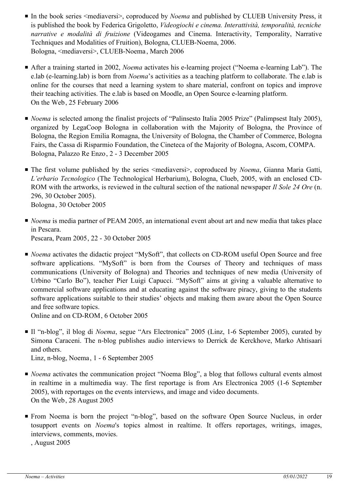- In the book series <mediaversi>, coproduced by *Noema* and published by CLUEB University Press, it is published the book by Federica Grigoletto, *Videogiochi e cinema. Interattività, temporalità, tecniche narrative e modalità di fruizione* (Videogames and Cinema. Interactivity, Temporality, Narrative Techniques and Modalities of Fruition), Bologna, CLUEB-Noema, 2006. Bologna, <mediaversi>, CLUEB-Noema , March 2006
- After a training started in 2002, *Noema* activates his e-learning project ("Noema e-learning Lab"). The e.lab (e-learning.lab) is born from *Noema*'s activities as a teaching platform to collaborate. The e.lab is online for the courses that need a learning system to share material, confront on topics and improve their teaching activities. The e.lab is based on Moodle, an Open Source e-learning platform. On the Web, 25 February 2006
- *Noema* is selected among the finalist projects of "Palinsesto Italia 2005 Prize" (Palimpsest Italy 2005), organized by LegaCoop Bologna in collaboration with the Majority of Bologna, the Province of Bologna, the Region Emilia Romagna, the University of Bologna, the Chamber of Commerce, Bologna Fairs, the Cassa di Risparmio Foundation, the Cineteca of the Majority of Bologna, Ascom, COMPA. Bologna, Palazzo Re Enzo, 2 - 3 December 2005
- The first volume published by the series <mediaversi>, coproduced by *Noema*, Gianna Maria Gatti, *L'erbario Tecnologico* (The Technological Herbarium), Bologna, Clueb, 2005, with an enclosed CD-ROM with the artworks, is reviewed in the cultural section of the national newspaper *Il Sole 24 Ore* (n. 296, 30 October 2005). Bologna , 30 October 2005
- *Noema* is media partner of PEAM 2005, an international event about art and new media that takes place in Pescara. Pescara, Peam 2005, 22 - 30 October 2005
- *Noema* activates the didactic project "MySoft", that collects on CD-ROM useful Open Source and free software applications. "MySoft" is born from the Courses of Theory and techniques of mass communications (University of Bologna) and Theories and techniques of new media (University of Urbino "Carlo Bo"), teacher Pier Luigi Capucci. "MySoft" aims at giving a valuable alternative to commercial software applications and at educating against the software piracy, giving to the students software applications suitable to their studies' objects and making them aware about the Open Source and free software topics.

Online and on CD-ROM, 6 October 2005

- Il "n-blog", il blog di *Noema*, segue "Ars Electronica" 2005 (Linz, 1-6 September 2005), curated by Simona Caraceni. The n-blog publishes audio interviews to Derrick de Kerckhove, Marko Ahtisaari and others. Linz, n-blog, Noema, 1 - 6 September 2005
- *Noema* activates the communication project "Noema Blog", a blog that follows cultural events almost in realtime in a multimedia way. The first reportage is from Ars Electronica 2005 (1-6 September 2005), with reportages on the events interviews, and image and video documents. On the Web, 28 August 2005
- From Noema is born the project "n-blog", based on the software Open Source Nucleus, in order tosupport events on *Noema*'s topics almost in realtime. It offers reportages, writings, images, interviews, comments, movies.

, August 2005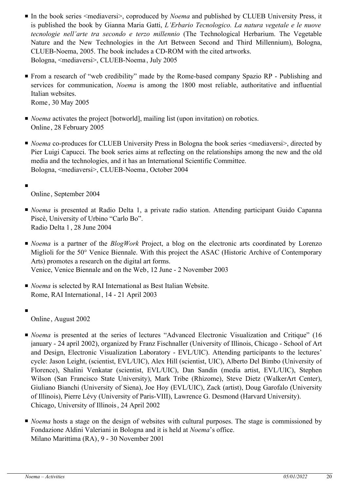- In the book series <mediaversi>, coproduced by *Noema* and published by CLUEB University Press, it is published the book by Gianna Maria Gatti, *L'Erbario Tecnologico. La natura vegetale e le nuove tecnologie nell'arte tra secondo e terzo millennio* (The Technological Herbarium. The Vegetable Nature and the New Technologies in the Art Between Second and Third Millennium), Bologna, CLUEB-Noema, 2005. The book includes a CD-ROM with the cited artworks. Bologna, <mediaversi>, CLUEB-Noema , July 2005
- From a research of "web credibility" made by the Rome-based company Spazio RP Publishing and services for communication, *Noema* is among the 1800 most reliable, authoritative and influential Italian websites. Rome , 30 May 2005
- *Noema* activates the project [botworld], mailing list (upon invitation) on robotics. Online , 28 February 2005
- *Noema* co-produces for CLUEB University Press in Bologna the book series <mediaversi>, directed by Pier Luigi Capucci. The book series aims at reflecting on the relationships among the new and the old media and the technologies, and it has an International Scientific Committee. Bologna, <mediaversi>, CLUEB-Noema , October 2004
- Online , September 2004
- *Noema* is presented at Radio Delta 1, a private radio station. Attending participant Guido Capanna Piscè, University of Urbino "Carlo Bo". Radio Delta 1, 28 June 2004
- *Noema* is a partner of the *BlogWork* Project, a blog on the electronic arts coordinated by Lorenzo Miglioli for the 50° Venice Biennale. With this project the ASAC (Historic Archive of Contemporary Arts) promotes a research on the digital art forms. Venice, Venice Biennale and on the Web, 12 June - 2 November 2003
- *Noema* is selected by RAI International as Best Italian Website. Rome, RAI International, 14 - 21 April 2003
- ■

■

Online , August 2002

- *Noema* is presented at the series of lectures "Advanced Electronic Visualization and Critique" (16 january - 24 april 2002), organized by Franz Fischnaller (University of Illinois, Chicago - School of Art and Design, Electronic Visualization Laboratory - EVL/UIC). Attending participants to the lectures' cycle: Jason Leight, (scientist, EVL/UIC), Alex Hill (scientist, UIC), Alberto Del Bimbo (University of Florence), Shalini Venkatar (scientist, EVL/UIC), Dan Sandin (media artist, EVL/UIC), Stephen Wilson (San Francisco State University), Mark Tribe (Rhizome), Steve Dietz (WalkerArt Center), Giuliano Bianchi (University of Siena), Joe Hoy (EVL/UIC), Zack (artist), Doug Garofalo (University of Illinois), Pierre Lévy (University of Paris-VIII), Lawrence G. Desmond (Harvard University). Chicago, University of Illinois, 24 April 2002
- *Noema* hosts a stage on the design of websites with cultural purposes. The stage is commissioned by Fondazione Aldini Valeriani in Bologna and it is held at *Noema*'s office. Milano Marittima (RA), 9 - 30 November 2001